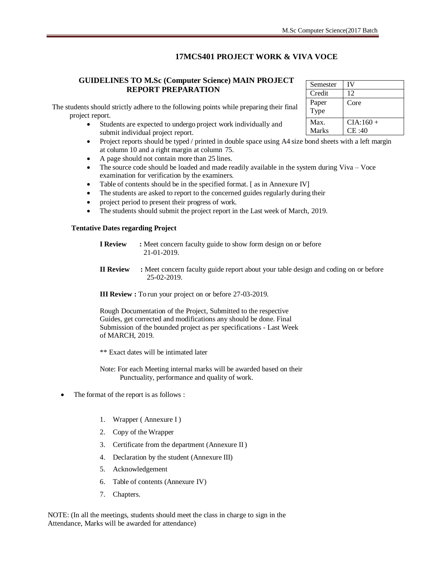#### **17MCS401 PROJECT WORK & VIVA VOCE**

#### **GUIDELINES TO M.Sc (Computer Science) MAIN PROJECT REPORT PREPARATION**

The students should strictly adhere to the following points while preparing their final project report.

- Students are expected to undergo project work individually and submit individual project report.
- Project reports should be typed / printed in double space using A4 size bond sheets with a left margin at column 10 and a right margin at column 75.
- A page should not contain more than 25 lines.
- The source code should be loaded and made readily available in the system during Viva Voce examination for verification by the examiners.
- Table of contents should be in the specified format. [ as in Annexure IV]
- The students are asked to report to the concerned guides regularly during their
- project period to present their progress of work.
- The students should submit the project report in the Last week of March, 2019.

#### **Tentative Dates regarding Project**

| <b>I Review</b> | : Meet concern faculty guide to show form design on or before |
|-----------------|---------------------------------------------------------------|
|                 | 21-01-2019.                                                   |

**II Review :** Meet concern faculty guide report about your table design and coding on or before 25-02-2019.

**III Review :** To run your project on or before 27-03-2019.

Rough Documentation of the Project, Submitted to the respective Guides, get corrected and modifications any should be done. Final Submission of the bounded project as per specifications - Last Week of MARCH, 2019.

\*\* Exact dates will be intimated later

Note: For each Meeting internal marks will be awarded based on their Punctuality, performance and quality of work.

- The format of the report is as follows :
	- 1. Wrapper ( Annexure I )
	- 2. Copy of the Wrapper
	- 3. Certificate from the department (Annexure II)
	- 4. Declaration by the student (Annexure III)
	- 5. Acknowledgement
	- 6. Table of contents (Annexure IV)
	- 7. Chapters.

NOTE: (In all the meetings, students should meet the class in charge to sign in the Attendance, Marks will be awarded for attendance)

| Semester | IV         |
|----------|------------|
| Credit   | 12         |
| Paper    | Core       |
| Type     |            |
| Max.     | $CIA:160+$ |
| Marks    | CE:40      |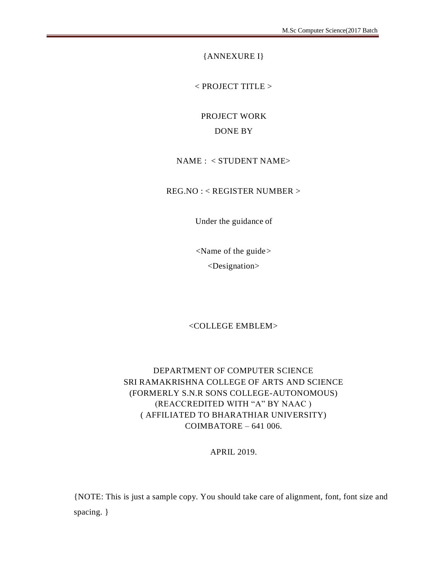{ANNEXURE I}

< PROJECT TITLE >

PROJECT WORK DONE BY

#### NAME : < STUDENT NAME>

REG.NO : < REGISTER NUMBER >

Under the guidance of

<Name of the guide> <Designation>

#### <COLLEGE EMBLEM>

#### DEPARTMENT OF COMPUTER SCIENCE SRI RAMAKRISHNA COLLEGE OF ARTS AND SCIENCE (FORMERLY S.N.R SONS COLLEGE-AUTONOMOUS) (REACCREDITED WITH "A" BY NAAC ) ( AFFILIATED TO BHARATHIAR UNIVERSITY) COIMBATORE – 641 006.

#### APRIL 2019.

{NOTE: This is just a sample copy. You should take care of alignment, font, font size and spacing. }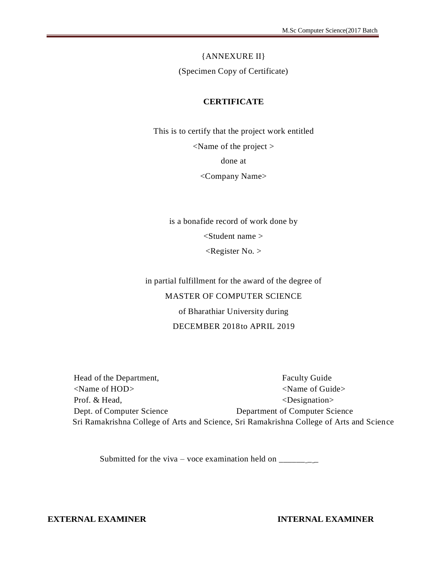# {ANNEXURE II}

#### (Specimen Copy of Certificate)

#### **CERTIFICATE**

This is to certify that the project work entitled <Name of the project > done at <Company Name>

is a bonafide record of work done by <Student name >  $\langle$ Register No.  $>$ 

in partial fulfillment for the award of the degree of MASTER OF COMPUTER SCIENCE of Bharathiar University during DECEMBER 2018to APRIL 2019

| Head of the Department,         | <b>Faculty Guide</b>                                                                     |
|---------------------------------|------------------------------------------------------------------------------------------|
| $\langle$ Name of HOD $\rangle$ | $\le$ Name of Guide $>$                                                                  |
| Prof. & Head,                   | $\le$ Designation $>$                                                                    |
| Dept. of Computer Science       | Department of Computer Science                                                           |
|                                 | Sri Ramakrishna College of Arts and Science, Sri Ramakrishna College of Arts and Science |

Submitted for the viva – voce examination held on  $\frac{$ 

**EXTERNAL EXAMINER INTERNAL EXAMINER**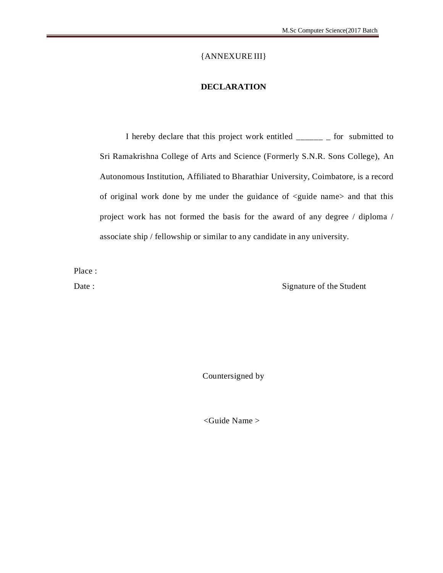#### {ANNEXURE III}

#### **DECLARATION**

I hereby declare that this project work entitled \_\_\_\_\_\_ \_ for submitted to Sri Ramakrishna College of Arts and Science (Formerly S.N.R. Sons College), An Autonomous Institution, Affiliated to Bharathiar University, Coimbatore, is a record of original work done by me under the guidance of <guide name> and that this project work has not formed the basis for the award of any degree / diploma / associate ship / fellowship or similar to any candidate in any university.

Place :

Date : Signature of the Student

Countersigned by

<Guide Name >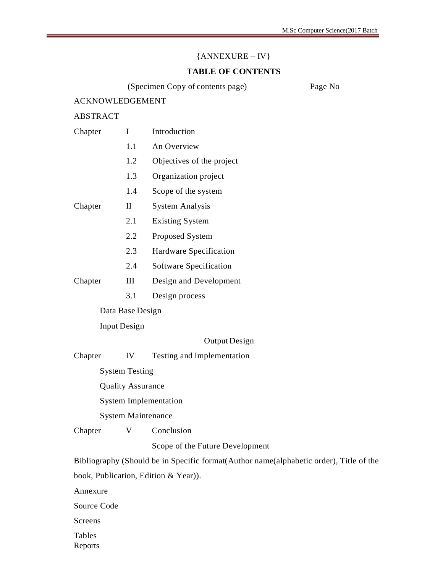#### ${ANNEXURE - IV}$

#### **TABLE OF CONTENTS**

(Specimen Copy of contents page) Page No

#### ACKNOWLEDGEMENT

#### ABSTRACT

| Chapter | I                | Introduction              |  |  |  |  |
|---------|------------------|---------------------------|--|--|--|--|
|         | 1.1              | An Overview               |  |  |  |  |
|         | 1.2              | Objectives of the project |  |  |  |  |
|         | 1.3              | Organization project      |  |  |  |  |
|         | 1.4              | Scope of the system       |  |  |  |  |
| Chapter | $_{\rm II}$      | <b>System Analysis</b>    |  |  |  |  |
|         | 2.1              | <b>Existing System</b>    |  |  |  |  |
|         | 2.2              | Proposed System           |  |  |  |  |
|         | 2.3              | Hardware Specification    |  |  |  |  |
|         | 2.4              | Software Specification    |  |  |  |  |
| Chapter | Ш                | Design and Development    |  |  |  |  |
|         | 3.1              | Design process            |  |  |  |  |
|         | Data Base Design |                           |  |  |  |  |

#### Input Design

#### Output Design

Chapter IV Testing and Implementation

System Testing

Quality Assurance

System Implementation

System Maintenance

Chapter V Conclusion

Scope of the Future Development

Bibliography (Should be in Specific format(Author name(alphabetic order), Title of the

book, Publication, Edition & Year)).

Annexure

Source Code

Screens

Tables

Reports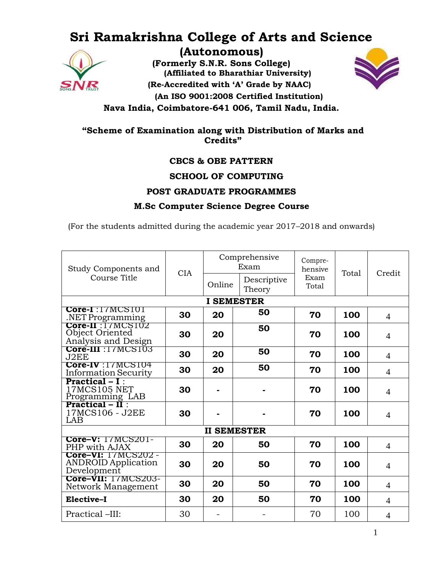## **Sri Ramakrishna College of Arts and Science (Autonomous)**



**(Formerly S.N.R. Sons College) (Affiliated to Bharathiar University) (Re-Accredited with 'A' Grade by NAAC) (An ISO 9001:2008 Certified Institution) Nava India, Coimbatore-641 006, Tamil Nadu, India.**



**"Scheme of Examination along with Distribution of Marks and Credits"**

#### **CBCS & OBE PATTERN**

#### **SCHOOL OF COMPUTING**

#### **POST GRADUATE PROGRAMMES**

#### **M.Sc Computer Science Degree Course**

(For the students admitted during the academic year 2017–2018 and onwards)

| Study Components and                                                                   | <b>CIA</b>         | Comprehensive<br>Exam |                       | Compre-<br>hensive | Total | Credit         |
|----------------------------------------------------------------------------------------|--------------------|-----------------------|-----------------------|--------------------|-------|----------------|
| Course Title                                                                           |                    | Online                | Descriptive<br>Theory | Exam<br>Total      |       |                |
|                                                                                        |                    | <b>I SEMESTER</b>     |                       |                    |       |                |
| Core-I:17MCS101<br>.NET Programming                                                    | 30                 | 20                    | 50                    | 70                 | 100   | $\overline{4}$ |
| Core-II : 17MCS102<br>Object Oriented<br>Analysis and Design                           | 30                 | 20                    | 50                    | 70                 | 100   | $\overline{4}$ |
| Core-III : 17MCS103<br>J2EE                                                            | 30                 | 20                    | 50                    | 70                 | 100   | $\overline{4}$ |
| Core-IV:17MCS104<br><b>Information Security</b>                                        | 30                 | 20                    | 50                    | 70                 | 100   | $\overline{4}$ |
| $Practical - I$ :<br><b>17MCS105 NET</b><br>Programming LAB<br><b>Practical – II</b> : | 30                 |                       |                       | 70                 | 100   | $\overline{4}$ |
| 17MCS106 - J2EE<br>LAB                                                                 | 30                 |                       |                       | 70                 | 100   | $\overline{4}$ |
|                                                                                        | <b>II SEMESTER</b> |                       |                       |                    |       |                |
| <b>Core-V:</b> 17MCS201-<br>PHP with AJAX                                              | 30                 | 20                    | 50                    | 70                 | 100   | $\overline{4}$ |
| Core-VI: 17MCS202 -<br><b>ANDROID Application</b><br>Development                       | 30                 | 20                    | 50                    | 70                 | 100   | 4              |
| Core-VII: 17MCS203-<br>Network Management                                              | 30                 | 20                    | 50                    | 70                 | 100   | $\overline{4}$ |
| Elective-I                                                                             | 30                 | 20                    | 50                    | 70                 | 100   | 4              |
| Practical -III:                                                                        | 30                 |                       |                       | 70                 | 100   | 4              |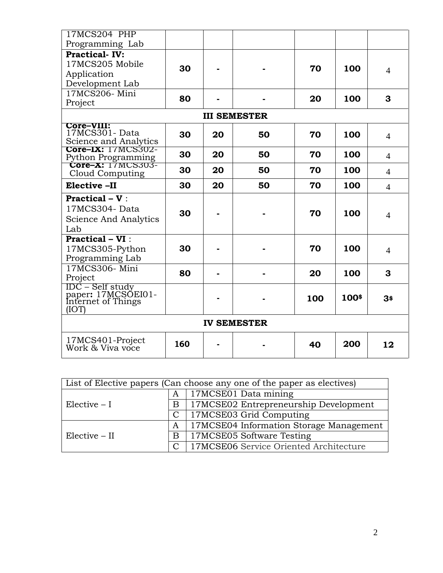| 17MCS204 PHP                             |     |    |                     |     |       |                |
|------------------------------------------|-----|----|---------------------|-----|-------|----------------|
| Programming Lab                          |     |    |                     |     |       |                |
| <b>Practical-IV:</b>                     |     |    |                     |     |       |                |
| 17MCS205 Mobile                          | 30  |    |                     | 70  | 100   |                |
| Application                              |     |    |                     |     |       | $\overline{4}$ |
| Development Lab                          |     |    |                     |     |       |                |
| 17MCS206-Mini                            | 80  |    |                     | 20  | 100   | 3              |
| Project                                  |     |    |                     |     |       |                |
|                                          |     |    | <b>III SEMESTER</b> |     |       |                |
| Core-VIII:                               |     |    |                     |     |       |                |
| 17MCS301-Data<br>Science and Analytics   | 30  | 20 | 50                  | 70  | 100   | $\overline{4}$ |
| <b>Core-IX:</b> 17MCS302-                |     |    |                     |     |       |                |
| Python Programming<br>Core-X: 17MCS303-  | 30  | 20 | 50                  | 70  | 100   | $\overline{4}$ |
|                                          | 30  | 20 | 50                  | 70  | 100   | $\overline{4}$ |
| Cloud Computing                          |     |    |                     |     |       |                |
| Elective -II                             | 30  | 20 | 50                  | 70  | 100   | $\overline{4}$ |
| <b>Practical – V</b> :                   |     |    |                     |     |       |                |
| 17MCS304-Data                            |     |    |                     |     |       |                |
| Science And Analytics                    | 30  |    |                     | 70  | 100   | $\overline{4}$ |
| Lab                                      |     |    |                     |     |       |                |
| <b>Practical - VI</b> :                  |     |    |                     |     |       |                |
| 17MCS305-Python                          | 30  |    |                     | 70  | 100   | $\overline{4}$ |
| Programming Lab                          |     |    |                     |     |       |                |
| 17MCS306-Mini                            | 80  |    |                     |     | 100   | 3              |
| Project                                  |     |    |                     | 20  |       |                |
| IDC – Self study                         |     |    |                     |     |       |                |
| paper: 17MCSOEI01-<br>Internet of Things |     |    |                     | 100 | 100\$ | 3\$            |
| (IOT)                                    |     |    |                     |     |       |                |
| <b>IV SEMESTER</b>                       |     |    |                     |     |       |                |
|                                          |     |    |                     |     |       |                |
| 17MCS401-Project<br>Work & Viva voce     | 160 |    |                     | 40  | 200   | 12             |
|                                          |     |    |                     |     |       |                |

| List of Elective papers (Can choose any one of the paper as electives) |               |                                         |  |  |  |  |  |
|------------------------------------------------------------------------|---------------|-----------------------------------------|--|--|--|--|--|
|                                                                        | A             | $\sqrt{17MCSE01}$ Data mining           |  |  |  |  |  |
| $Elective - I$                                                         | Β             | 17MCSE02 Entrepreneurship Development   |  |  |  |  |  |
|                                                                        | $\mathcal{C}$ | 17MCSE03 Grid Computing                 |  |  |  |  |  |
|                                                                        | A             | 17MCSE04 Information Storage Management |  |  |  |  |  |
| $Elective - II$                                                        | B             | 17MCSE05 Software Testing               |  |  |  |  |  |
|                                                                        |               | 17MCSE06 Service Oriented Architecture  |  |  |  |  |  |